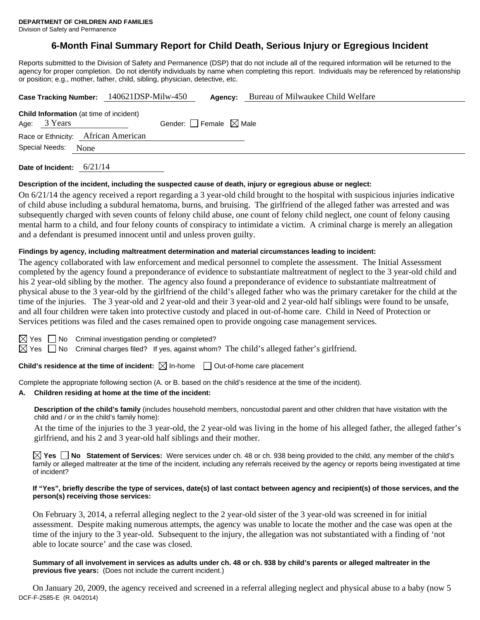# **6-Month Final Summary Report for Child Death, Serious Injury or Egregious Incident**

Reports submitted to the Division of Safety and Permanence (DSP) that do not include all of the required information will be returned to the agency for proper completion. Do not identify individuals by name when completing this report. Individuals may be referenced by relationship or position; e.g., mother, father, child, sibling, physician, detective, etc.

|                   | Case Tracking Number: 140621DSP-Milw-450       | Agency:                         | Bureau of Milwaukee Child Welfare |
|-------------------|------------------------------------------------|---------------------------------|-----------------------------------|
|                   | <b>Child Information</b> (at time of incident) |                                 |                                   |
| Age: 3 Years      |                                                | Gender: Female $\boxtimes$ Male |                                   |
|                   | Race or Ethnicity: African American            |                                 |                                   |
| Special Needs:    | None                                           |                                 |                                   |
| Date of Incident: | 6/21/14                                        |                                 |                                   |

## **Description of the incident, including the suspected cause of death, injury or egregious abuse or neglect:**  On 6/21/14 the agency received a report regarding a 3 year-old child brought to the hospital with suspicious injuries indicative of child abuse including a subdural hematoma, burns, and bruising. The girlfriend of the alleged father was arrested and was subsequently charged with seven counts of felony child abuse, one count of felony child neglect, one count of felony causing mental harm to a child, and four felony counts of conspiracy to intimidate a victim. A criminal charge is merely an allegation and a defendant is presumed innocent until and unless proven guilty.

### **Findings by agency, including maltreatment determination and material circumstances leading to incident:**

The agency collaborated with law enforcement and medical personnel to complete the assessment. The Initial Assessment completed by the agency found a preponderance of evidence to substantiate maltreatment of neglect to the 3 year-old child and his 2 year-old sibling by the mother. The agency also found a preponderance of evidence to substantiate maltreatment of physical abuse to the 3 year-old by the girlfriend of the child's alleged father who was the primary caretaker for the child at the time of the injuries. The 3 year-old and 2 year-old and their 3 year-old and 2 year-old half siblings were found to be unsafe, and all four children were taken into protective custody and placed in out-of-home care. Child in Need of Protection or Services petitions was filed and the cases remained open to provide ongoing case management services.

 $\boxtimes$  Yes  $\Box$  No Criminal investigation pending or completed?

 $\boxtimes$  Yes  $\Box$  No Criminal charges filed? If yes, against whom? The child's alleged father's girlfriend.

**Child's residence at the time of incident:**  $\boxtimes$  In-home  $\Box$  Out-of-home care placement

Complete the appropriate following section (A. or B. based on the child's residence at the time of the incident).

### **A. Children residing at home at the time of the incident:**

**Description of the child's family** (includes household members, noncustodial parent and other children that have visitation with the child and / or in the child's family home):

 At the time of the injuries to the 3 year-old, the 2 year-old was living in the home of his alleged father, the alleged father's girlfriend, and his 2 and 3 year-old half siblings and their mother.

**Yes No Statement of Services:** Were services under ch. 48 or ch. 938 being provided to the child, any member of the child's family or alleged maltreater at the time of the incident, including any referrals received by the agency or reports being investigated at time of incident?

#### **If "Yes", briefly describe the type of services, date(s) of last contact between agency and recipient(s) of those services, and the person(s) receiving those services:**

On February 3, 2014, a referral alleging neglect to the 2 year-old sister of the 3 year-old was screened in for initial assessment. Despite making numerous attempts, the agency was unable to locate the mother and the case was open at the time of the injury to the 3 year-old. Subsequent to the injury, the allegation was not substantiated with a finding of 'not able to locate source' and the case was closed.

**Summary of all involvement in services as adults under ch. 48 or ch. 938 by child's parents or alleged maltreater in the previous five years:** (Does not include the current incident.)

DCF-F-2585-E (R. 04/2014) On January 20, 2009, the agency received and screened in a referral alleging neglect and physical abuse to a baby (now 5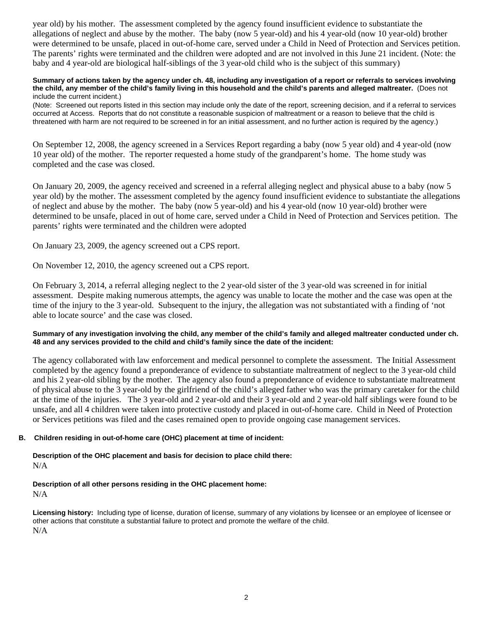year old) by his mother. The assessment completed by the agency found insufficient evidence to substantiate the allegations of neglect and abuse by the mother. The baby (now 5 year-old) and his 4 year-old (now 10 year-old) brother were determined to be unsafe, placed in out-of-home care, served under a Child in Need of Protection and Services petition. The parents' rights were terminated and the children were adopted and are not involved in this June 21 incident. (Note: the baby and 4 year-old are biological half-siblings of the 3 year-old child who is the subject of this summary)

#### **Summary of actions taken by the agency under ch. 48, including any investigation of a report or referrals to services involving the child, any member of the child's family living in this household and the child's parents and alleged maltreater.** (Does not include the current incident.)

(Note: Screened out reports listed in this section may include only the date of the report, screening decision, and if a referral to services occurred at Access. Reports that do not constitute a reasonable suspicion of maltreatment or a reason to believe that the child is threatened with harm are not required to be screened in for an initial assessment, and no further action is required by the agency.)

On September 12, 2008, the agency screened in a Services Report regarding a baby (now 5 year old) and 4 year-old (now 10 year old) of the mother. The reporter requested a home study of the grandparent's home. The home study was completed and the case was closed.

On January 20, 2009, the agency received and screened in a referral alleging neglect and physical abuse to a baby (now 5 year old) by the mother. The assessment completed by the agency found insufficient evidence to substantiate the allegations of neglect and abuse by the mother. The baby (now 5 year-old) and his 4 year-old (now 10 year-old) brother were determined to be unsafe, placed in out of home care, served under a Child in Need of Protection and Services petition. The parents' rights were terminated and the children were adopted

On January 23, 2009, the agency screened out a CPS report.

On November 12, 2010, the agency screened out a CPS report.

On February 3, 2014, a referral alleging neglect to the 2 year-old sister of the 3 year-old was screened in for initial assessment. Despite making numerous attempts, the agency was unable to locate the mother and the case was open at the time of the injury to the 3 year-old. Subsequent to the injury, the allegation was not substantiated with a finding of 'not able to locate source' and the case was closed.

### **Summary of any investigation involving the child, any member of the child's family and alleged maltreater conducted under ch. 48 and any services provided to the child and child's family since the date of the incident:**

The agency collaborated with law enforcement and medical personnel to complete the assessment. The Initial Assessment completed by the agency found a preponderance of evidence to substantiate maltreatment of neglect to the 3 year-old child and his 2 year-old sibling by the mother. The agency also found a preponderance of evidence to substantiate maltreatment of physical abuse to the 3 year-old by the girlfriend of the child's alleged father who was the primary caretaker for the child at the time of the injuries. The 3 year-old and 2 year-old and their 3 year-old and 2 year-old half siblings were found to be unsafe, and all 4 children were taken into protective custody and placed in out-of-home care. Child in Need of Protection or Services petitions was filed and the cases remained open to provide ongoing case management services.

### **B. Children residing in out-of-home care (OHC) placement at time of incident:**

## **Description of the OHC placement and basis for decision to place child there:** N/A

### **Description of all other persons residing in the OHC placement home:** N/A

**Licensing history:** Including type of license, duration of license, summary of any violations by licensee or an employee of licensee or other actions that constitute a substantial failure to protect and promote the welfare of the child. N/A